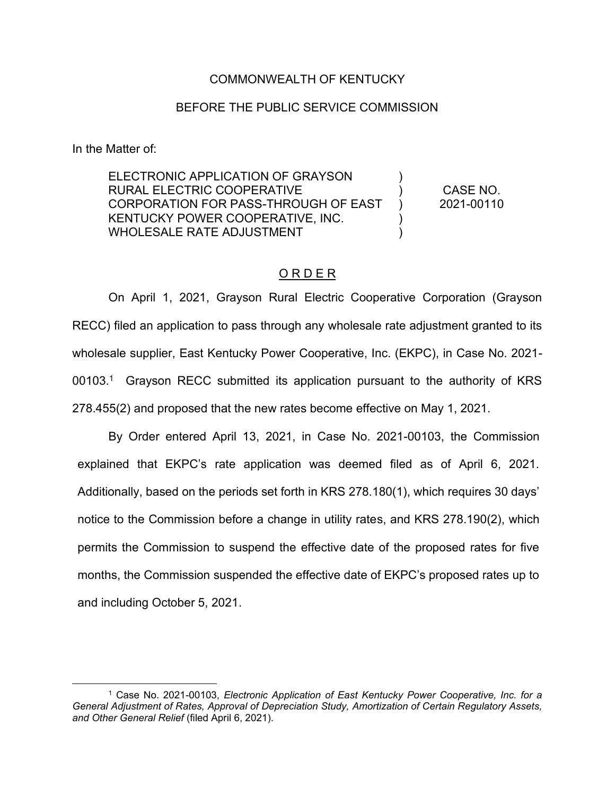### COMMONWEALTH OF KENTUCKY

### BEFORE THE PUBLIC SERVICE COMMISSION

In the Matter of:

ELECTRONIC APPLICATION OF GRAYSON RURAL ELECTRIC COOPERATIVE CORPORATION FOR PASS-THROUGH OF EAST KENTUCKY POWER COOPERATIVE, INC. WHOLESALE RATE ADJUSTMENT ) )  $\lambda$ ) ) CASE NO. 2021-00110

### O R D E R

On April 1, 2021, Grayson Rural Electric Cooperative Corporation (Grayson RECC) filed an application to pass through any wholesale rate adjustment granted to its wholesale supplier, East Kentucky Power Cooperative, Inc. (EKPC), in Case No. 2021- 00103.<sup>1</sup> Grayson RECC submitted its application pursuant to the authority of KRS 278.455(2) and proposed that the new rates become effective on May 1, 2021.

By Order entered April 13, 2021, in Case No. 2021-00103, the Commission explained that EKPC's rate application was deemed filed as of April 6, 2021. Additionally, based on the periods set forth in KRS 278.180(1), which requires 30 days' notice to the Commission before a change in utility rates, and KRS 278.190(2), which permits the Commission to suspend the effective date of the proposed rates for five months, the Commission suspended the effective date of EKPC's proposed rates up to and including October 5, 2021.

<sup>1</sup> Case No. 2021-00103, *Electronic Application of East Kentucky Power Cooperative, Inc. for a General Adjustment of Rates, Approval of Depreciation Study, Amortization of Certain Regulatory Assets, and Other General Relief* (filed April 6, 2021).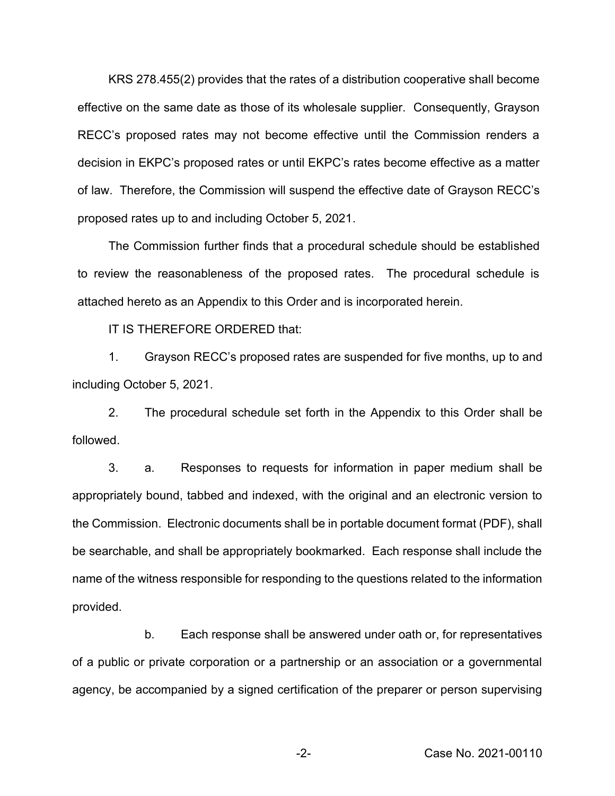KRS 278.455(2) provides that the rates of a distribution cooperative shall become effective on the same date as those of its wholesale supplier. Consequently, Grayson RECC's proposed rates may not become effective until the Commission renders a decision in EKPC's proposed rates or until EKPC's rates become effective as a matter of law. Therefore, the Commission will suspend the effective date of Grayson RECC's proposed rates up to and including October 5, 2021.

The Commission further finds that a procedural schedule should be established to review the reasonableness of the proposed rates. The procedural schedule is attached hereto as an Appendix to this Order and is incorporated herein.

IT IS THEREFORE ORDERED that:

1. Grayson RECC's proposed rates are suspended for five months, up to and including October 5, 2021.

2. The procedural schedule set forth in the Appendix to this Order shall be followed.

3. a. Responses to requests for information in paper medium shall be appropriately bound, tabbed and indexed, with the original and an electronic version to the Commission. Electronic documents shall be in portable document format (PDF), shall be searchable, and shall be appropriately bookmarked. Each response shall include the name of the witness responsible for responding to the questions related to the information provided.

b. Each response shall be answered under oath or, for representatives of a public or private corporation or a partnership or an association or a governmental agency, be accompanied by a signed certification of the preparer or person supervising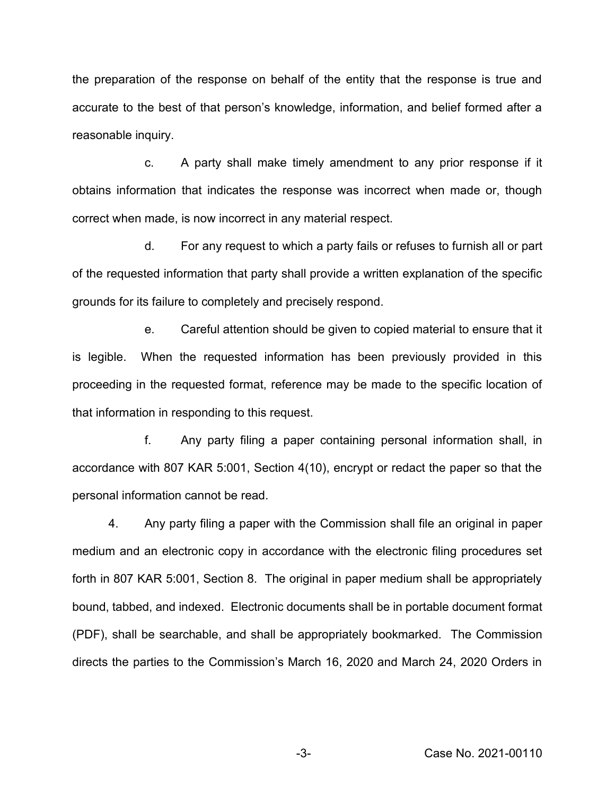the preparation of the response on behalf of the entity that the response is true and accurate to the best of that person's knowledge, information, and belief formed after a reasonable inquiry.

c. A party shall make timely amendment to any prior response if it obtains information that indicates the response was incorrect when made or, though correct when made, is now incorrect in any material respect.

d. For any request to which a party fails or refuses to furnish all or part of the requested information that party shall provide a written explanation of the specific grounds for its failure to completely and precisely respond.

e. Careful attention should be given to copied material to ensure that it is legible. When the requested information has been previously provided in this proceeding in the requested format, reference may be made to the specific location of that information in responding to this request.

f. Any party filing a paper containing personal information shall, in accordance with 807 KAR 5:001, Section 4(10), encrypt or redact the paper so that the personal information cannot be read.

4. Any party filing a paper with the Commission shall file an original in paper medium and an electronic copy in accordance with the electronic filing procedures set forth in 807 KAR 5:001, Section 8. The original in paper medium shall be appropriately bound, tabbed, and indexed. Electronic documents shall be in portable document format (PDF), shall be searchable, and shall be appropriately bookmarked. The Commission directs the parties to the Commission's March 16, 2020 and March 24, 2020 Orders in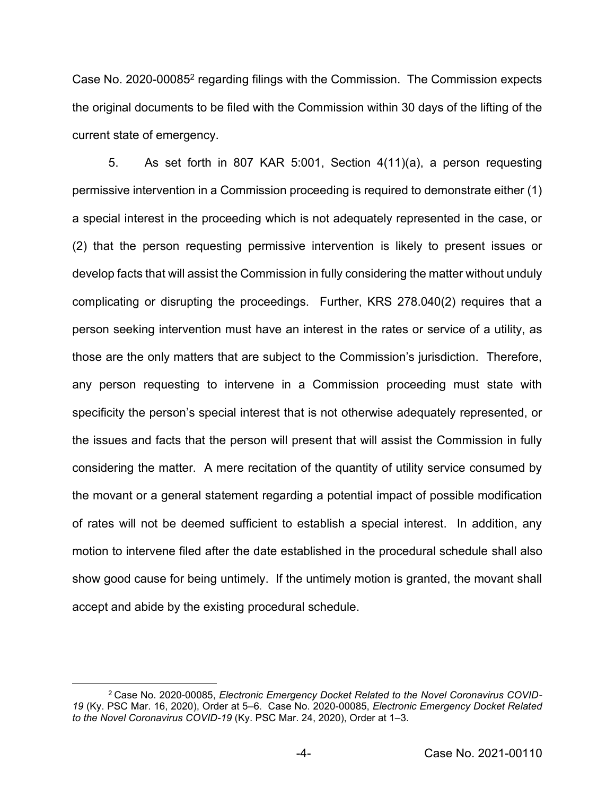Case No. 2020-000852 regarding filings with the Commission. The Commission expects the original documents to be filed with the Commission within 30 days of the lifting of the current state of emergency.

5. As set forth in 807 KAR 5:001, Section 4(11)(a), a person requesting permissive intervention in a Commission proceeding is required to demonstrate either (1) a special interest in the proceeding which is not adequately represented in the case, or (2) that the person requesting permissive intervention is likely to present issues or develop facts that will assist the Commission in fully considering the matter without unduly complicating or disrupting the proceedings. Further, KRS 278.040(2) requires that a person seeking intervention must have an interest in the rates or service of a utility, as those are the only matters that are subject to the Commission's jurisdiction. Therefore, any person requesting to intervene in a Commission proceeding must state with specificity the person's special interest that is not otherwise adequately represented, or the issues and facts that the person will present that will assist the Commission in fully considering the matter. A mere recitation of the quantity of utility service consumed by the movant or a general statement regarding a potential impact of possible modification of rates will not be deemed sufficient to establish a special interest. In addition, any motion to intervene filed after the date established in the procedural schedule shall also show good cause for being untimely. If the untimely motion is granted, the movant shall accept and abide by the existing procedural schedule.

<sup>2</sup> Case No. 2020-00085, *Electronic Emergency Docket Related to the Novel Coronavirus COVID-19* (Ky. PSC Mar. 16, 2020), Order at 5–6. Case No. 2020-00085, *Electronic Emergency Docket Related to the Novel Coronavirus COVID-19* (Ky. PSC Mar. 24, 2020), Order at 1–3.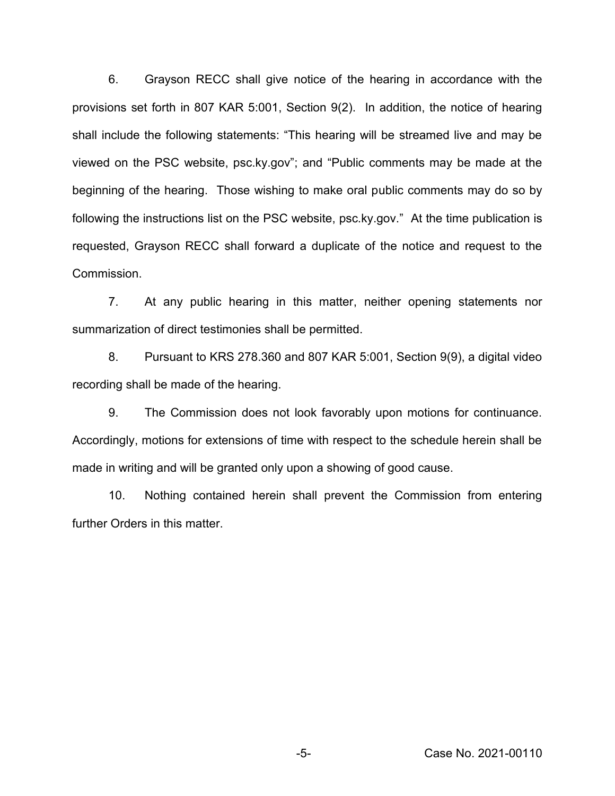6. Grayson RECC shall give notice of the hearing in accordance with the provisions set forth in 807 KAR 5:001, Section 9(2). In addition, the notice of hearing shall include the following statements: "This hearing will be streamed live and may be viewed on the PSC website, psc.ky.gov"; and "Public comments may be made at the beginning of the hearing. Those wishing to make oral public comments may do so by following the instructions list on the PSC website, psc.ky.gov." At the time publication is requested, Grayson RECC shall forward a duplicate of the notice and request to the Commission.

7. At any public hearing in this matter, neither opening statements nor summarization of direct testimonies shall be permitted.

8. Pursuant to KRS 278.360 and 807 KAR 5:001, Section 9(9), a digital video recording shall be made of the hearing.

9. The Commission does not look favorably upon motions for continuance. Accordingly, motions for extensions of time with respect to the schedule herein shall be made in writing and will be granted only upon a showing of good cause.

10. Nothing contained herein shall prevent the Commission from entering further Orders in this matter.

-5- Case No. 2021-00110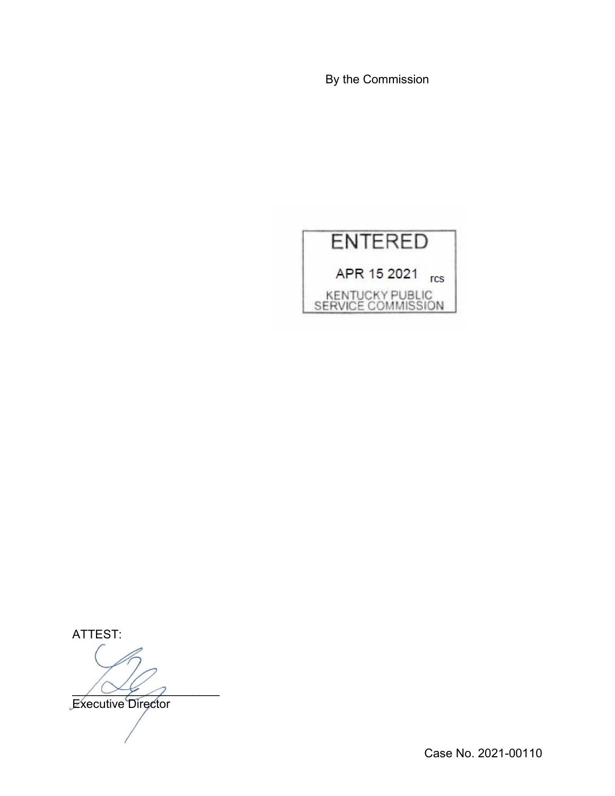By the Commission



ATTEST:

 $\sqrt{\alpha}$ 

Executive Director

Case No. 2021-00110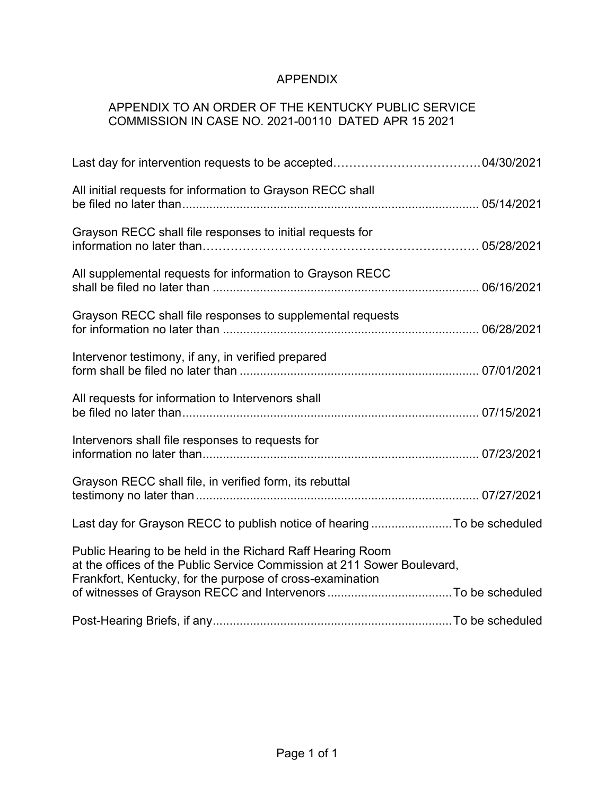# APPENDIX

## APPENDIX TO AN ORDER OF THE KENTUCKY PUBLIC SERVICE COMMISSION IN CASE NO. 2021-00110 DATED APR 15 2021

| All initial requests for information to Grayson RECC shall                                                                                                                                         |  |
|----------------------------------------------------------------------------------------------------------------------------------------------------------------------------------------------------|--|
| Grayson RECC shall file responses to initial requests for                                                                                                                                          |  |
| All supplemental requests for information to Grayson RECC                                                                                                                                          |  |
| Grayson RECC shall file responses to supplemental requests                                                                                                                                         |  |
| Intervenor testimony, if any, in verified prepared                                                                                                                                                 |  |
| All requests for information to Intervenors shall                                                                                                                                                  |  |
| Intervenors shall file responses to requests for                                                                                                                                                   |  |
| Grayson RECC shall file, in verified form, its rebuttal                                                                                                                                            |  |
| Last day for Grayson RECC to publish notice of hearing To be scheduled                                                                                                                             |  |
| Public Hearing to be held in the Richard Raff Hearing Room<br>at the offices of the Public Service Commission at 211 Sower Boulevard,<br>Frankfort, Kentucky, for the purpose of cross-examination |  |
|                                                                                                                                                                                                    |  |